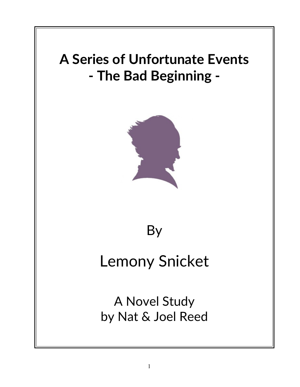# **A Series of Unfortunate Events - The Bad Beginning -**



# By

# Lemony Snicket

A Novel Study by Nat & Joel Reed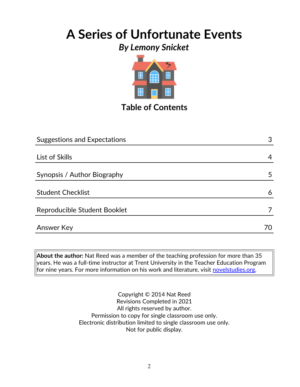## **A Series of Unfortunate Events**

## *By Lemony Snicket*



## **Table of Contents**

| <b>Suggestions and Expectations</b> | 3  |
|-------------------------------------|----|
|                                     |    |
| List of Skills                      | 4  |
|                                     |    |
| Synopsis / Author Biography         | 5  |
| <b>Student Checklist</b>            | 6  |
| Reproducible Student Booklet        |    |
| Answer Key                          | 70 |
|                                     |    |

**About the author:** Nat Reed was a member of the teaching profession for more than 35 years. He was a full-time instructor at Trent University in the Teacher Education Program for nine years. For more information on his work and literature, visit [novelstudies.org.](http://www.novelstudies.org/)

> Copyright © 2014 Nat Reed Revisions Completed in 2021 All rights reserved by author. Permission to copy for single classroom use only. Electronic distribution limited to single classroom use only. Not for public display.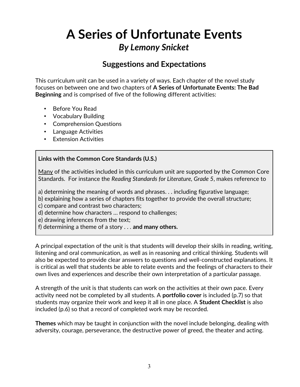### **Suggestions and Expectations**

This curriculum unit can be used in a variety of ways. Each chapter of the novel study focuses on between one and two chapters of **A Series of Unfortunate Events: The Bad Beginning** and is comprised of five of the following different activities:

- Before You Read
- Vocabulary Building
- Comprehension Questions
- Language Activities
- Extension Activities

#### **Links with the Common Core Standards (U.S.)**

Many of the activities included in this curriculum unit are supported by the Common Core Standards. For instance the *Reading Standards for Literature, Grade 5*, makes reference to

a) determining the meaning of words and phrases. . . including figurative language;

b) explaining how a series of chapters fits together to provide the overall structure;

c) compare and contrast two characters;

d) determine how characters … respond to challenges;

e) drawing inferences from the text;

f) determining a theme of a story . . . **and many others.**

A principal expectation of the unit is that students will develop their skills in reading, writing, listening and oral communication, as well as in reasoning and critical thinking. Students will also be expected to provide clear answers to questions and well-constructed explanations. It is critical as well that students be able to relate events and the feelings of characters to their own lives and experiences and describe their own interpretation of a particular passage.

A strength of the unit is that students can work on the activities at their own pace. Every activity need not be completed by all students. A **portfolio cover** is included (p.7) so that students may organize their work and keep it all in one place. A **Student Checklist** is also included (p.6) so that a record of completed work may be recorded.

**Themes** which may be taught in conjunction with the novel include belonging, dealing with adversity, courage, perseverance, the destructive power of greed, the theater and acting.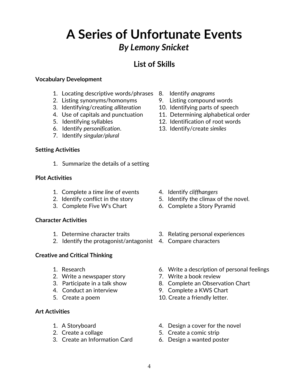### **List of Skills**

#### **Vocabulary Development**

- 1. Locating descriptive words/phrases 8. Identify *anagrams*
- 2. Listing synonyms/homonyms 9. Listing compound words
- 3. Identifying/creating *alliteration* 10. Identifying parts of speech
- 
- 
- 6. Identify *personification*. 13. Identify/create *similes*
- 7. Identify *singular/plural*

#### **Setting Activities**

1. Summarize the details of a setting

#### **Plot Activities**

- 1. Complete a *time line* of events 4. Identify *cliffhangers*
- 
- 3. Complete Five W's Chart 6. Complete a Story Pyramid

#### **Character Activities**

- 
- 2. Identify the protagonist/antagonist 4. Compare characters

#### **Creative and Critical Thinking**

- 
- 2. Write a newspaper story **7.** Write a book review
- 
- 
- 

#### **Art Activities**

- 
- 
- 3. Create an Information Card 6. Design a wanted poster
- 
- 
- 
- 4. Use of capitals and punctuation 11. Determining alphabetical order
- 5. Identifying syllables 12. Identification of root words
	-

- 
- 2. Identify conflict in the story 5. Identify the climax of the novel.
	-
- 1. Determine character traits 3. Relating personal experiences
	-
- 1. Research 6. Write a description of personal feelings
	-
- 3. Participate in a talk show 8. Complete an Observation Chart
- 4. Conduct an interview 9. Complete a KWS Chart
- 5. Create a poem 10. Create a friendly letter.
- 1. A Storyboard **1.** A Storyboard **1.** A Storyboard
- 2. Create a collage 5. Create a comic strip
	-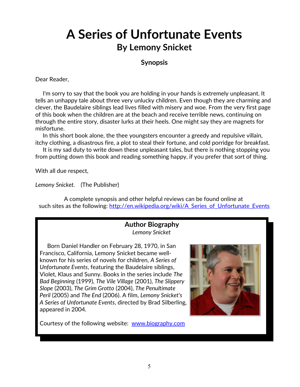#### **Synopsis**

Dear Reader,

 I'm sorry to say that the book you are holding in your hands is extremely unpleasant. It tells an unhappy tale about three very unlucky children. Even though they are charming and clever, the Baudelaire siblings lead lives filled with misery and woe. From the very first page of this book when the children are at the beach and receive terrible news, continuing on through the entire story, disaster lurks at their heels. One might say they are magnets for misfortune.

 In this short book alone, the thee youngsters encounter a greedy and repulsive villain, itchy clothing, a disastrous fire, a plot to steal their fortune, and cold porridge for breakfast.

 It is my sad duty to write down these unpleasant tales, but there is nothing stopping you from putting down this book and reading something happy, if you prefer that sort of thing.

With all due respect,

*Lemony Snicket.* (The Publisher)

A complete synopsis and other helpful reviews can be found online at such sites as the following: http://en.wikipedia.org/wiki/A Series of Unfortunate Events

#### **Author Biography** *Lemony Snicket*

 Born Daniel Handler on February 28, 1970, in San Francisco, California, Lemony Snicket became wellknown for his series of novels for children, *A Series of Unfortunate Events*, featuring the Baudelaire siblings, Violet, Klaus and Sunny. Books in the series include *The Bad Beginning* (1999), *The Vile Village* (2001), *The Slippery Slope* (2003), *The Grim Grotto* (2004), *The Penultimate Peril* (2005) and *The End* (2006). A film, *Lemony Snicket's A Series of Unfortunate Events*, directed by Brad Silberling, appeared in 2004.

Courtesy of the following website: [www.biography.com](http://www.biography.com/)

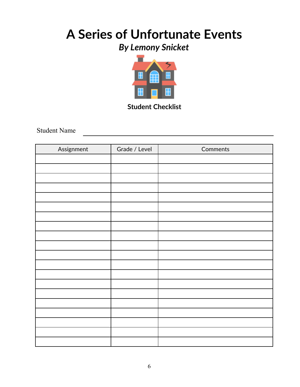## **A Series of Unfortunate Events**

## *By Lemony Snicket*



**Student Checklist**

Student Name

| Assignment | Grade / Level | Comments |
|------------|---------------|----------|
|            |               |          |
|            |               |          |
|            |               |          |
|            |               |          |
|            |               |          |
|            |               |          |
|            |               |          |
|            |               |          |
|            |               |          |
|            |               |          |
|            |               |          |
|            |               |          |
|            |               |          |
|            |               |          |
|            |               |          |
|            |               |          |
|            |               |          |
|            |               |          |
|            |               |          |
|            |               |          |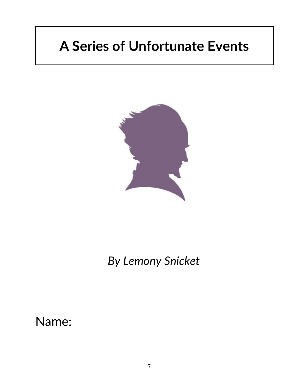# **A Series of Unfortunate Events**



*By Lemony Snicket*

Name: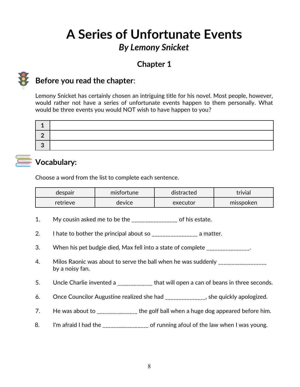## **Chapter 1**



## **Before you read the chapter**:

Lemony Snicket has certainly chosen an intriguing title for his novel. Most people, however, would rather not have a series of unfortunate events happen to them personally. What would be three events you would NOT wish to have happen to you?

## **Vocabulary:**

Choose a word from the list to complete each sentence.

| despair  | misfortune | distracted | trivial   |
|----------|------------|------------|-----------|
| retrieve | device     | executor   | misspoken |

- 1. My cousin asked me to be the \_\_\_\_\_\_\_\_\_\_\_\_\_\_\_\_\_ of his estate.
- 2. I hate to bother the principal about so \_\_\_\_\_\_\_\_\_\_\_\_\_\_\_\_\_\_\_\_\_\_\_\_ a matter.
- 3. When his pet budgie died, Max fell into a state of complete \_\_\_\_\_\_\_\_\_\_\_\_\_\_.
- 4. Milos Raonic was about to serve the ball when he was suddenly \_\_\_\_\_\_\_\_\_\_\_\_\_\_\_ by a noisy fan.
- 5. Uncle Charlie invented a \_\_\_\_\_\_\_\_\_\_\_\_\_ that will open a can of beans in three seconds.
- 6. Once Councilor Augustine realized she had \_\_\_\_\_\_\_\_\_\_\_\_\_\_\_, she quickly apologized.
- 7. He was about to \_\_\_\_\_\_\_\_\_\_\_\_\_\_ the golf ball when a huge dog appeared before him.
- 8. I'm afraid I had the **Example 2.** Of running afoul of the law when I was young.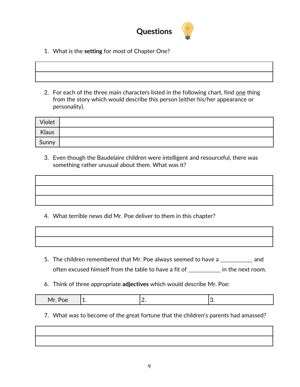

1. What is the **setting** for most of Chapter One?



2. For each of the three main characters listed in the following chart, find one thing from the story which would describe this person (either his/her appearance or personality).

| Violet |  |
|--------|--|
| Klaus  |  |
| Sunny  |  |

3. Even though the Baudelaire children were intelligent and resourceful, there was something rather unusual about them. What was it?

- 4. What terrible news did Mr. Poe deliver to them in this chapter?
- 5. The children remembered that Mr. Poe always seemed to have a \_\_\_\_\_\_\_\_\_\_\_\_ and often excused himself from the table to have a fit of \_\_\_\_\_\_\_\_\_\_\_\_ in the next room.
- 6. Think of three appropriate **adjectives** which would describe Mr. Poe:

| $\Delta r$<br>___ | <u>. .</u> |  |  |
|-------------------|------------|--|--|
|-------------------|------------|--|--|

7. What was to become of the great fortune that the children's parents had amassed?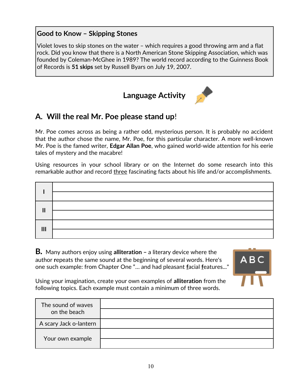#### **Good to Know – Skipping Stones**

Violet loves to skip stones on the water – which requires a good throwing arm and a flat rock. Did you know that there is a North American Stone Skipping Association, which was founded by Coleman-McGhee in 1989? The world record according to the Guinness Book of Records is **51 skips** set by Russell Byars on July 19, 2007.

## **Language Activity**



### **A. Will the real Mr. Poe please stand up**!

Mr. Poe comes across as being a rather odd, mysterious person. It is probably no accident that the author chose the name, Mr. Poe, for this particular character. A more well-known Mr. Poe is the famed writer, **Edgar Allan Poe**, who gained world-wide attention for his eerie tales of mystery and the macabre!

Using resources in your school library or on the Internet do some research into this remarkable author and record three fascinating facts about his life and/or accomplishments.

| $\overline{\mathsf{I}}$ |  |
|-------------------------|--|
|                         |  |
| $\mathbf{III}$          |  |

**B***.* Many authors enjoy using **alliteration –** a literary device where the author **r**epeats the same sound at the beginning of several words. Here's one such example: from Chapter One "… and had pleasant **f**acial **f**eatures..."



Using your imagination, create your own examples of **alliteration** from the following topics. Each example must contain a minimum of three words.

| The sound of waves<br>on the beach |  |
|------------------------------------|--|
| A scary Jack o-lantern             |  |
| Your own example                   |  |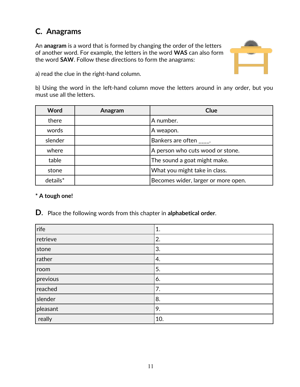## **C. Anagrams**

An **anagram** is a word that is formed by changing the order of the letters of another word. For example, the letters in the word **WAS** can also form the word **SAW**. Follow these directions to form the anagrams:



a) read the clue in the right-hand column.

b) Using the word in the left-hand column move the letters around in any order, but you must use all the letters.

| Word       | Anagram | Clue                                |
|------------|---------|-------------------------------------|
| there      |         | A number.                           |
| words      |         | A weapon.                           |
| slender    |         | Bankers are often .                 |
| where      |         | A person who cuts wood or stone.    |
| table      |         | The sound a goat might make.        |
| stone      |         | What you might take in class.       |
| $details*$ |         | Becomes wider, larger or more open. |

#### **\* A tough one!**

**D**. Place the following words from this chapter in **alphabetical order**.

| rife     | 1.  |
|----------|-----|
| retrieve | 2.  |
| stone    | 3.  |
| rather   | 4.  |
| room     | 5.  |
| previous | 6.  |
| reached  | 7.  |
| slender  | 8.  |
| pleasant | 9.  |
| really   | 10. |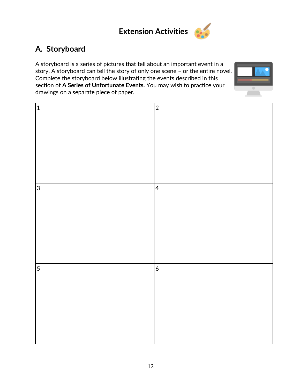

## **A. Storyboard**

A storyboard is a series of pictures that tell about an important event in a story. A storyboard can tell the story of only one scene – or the entire novel. Complete the storyboard below illustrating the events described in this section of **A Series of Unfortunate Events***.* You may wish to practice your drawings on a separate piece of paper.